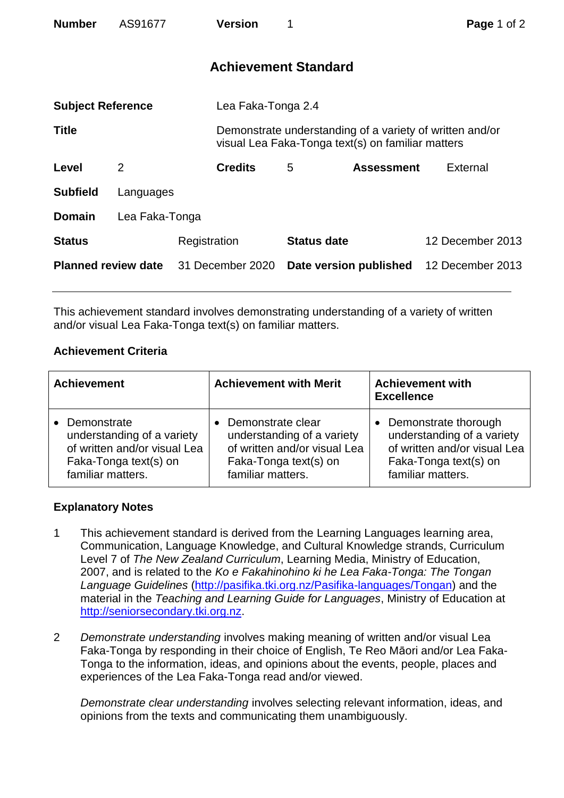| <b>Number</b>              | AS91677        |              | <b>Version</b>              | 1                  |                                                                                                               | Page 1 of 2      |  |
|----------------------------|----------------|--------------|-----------------------------|--------------------|---------------------------------------------------------------------------------------------------------------|------------------|--|
|                            |                |              | <b>Achievement Standard</b> |                    |                                                                                                               |                  |  |
| <b>Subject Reference</b>   |                |              | Lea Faka-Tonga 2.4          |                    |                                                                                                               |                  |  |
| <b>Title</b>               |                |              |                             |                    | Demonstrate understanding of a variety of written and/or<br>visual Lea Faka-Tonga text(s) on familiar matters |                  |  |
| Level                      | 2              |              | <b>Credits</b>              | 5                  | <b>Assessment</b>                                                                                             | External         |  |
| <b>Subfield</b>            | Languages      |              |                             |                    |                                                                                                               |                  |  |
| <b>Domain</b>              | Lea Faka-Tonga |              |                             |                    |                                                                                                               |                  |  |
| <b>Status</b>              |                | Registration |                             | <b>Status date</b> |                                                                                                               | 12 December 2013 |  |
| <b>Planned review date</b> |                |              | 31 December 2020            |                    | Date version published                                                                                        | 12 December 2013 |  |

This achievement standard involves demonstrating understanding of a variety of written and/or visual Lea Faka-Tonga text(s) on familiar matters.

## **Achievement Criteria**

| <b>Achievement</b>           | <b>Achievement with Merit</b> | <b>Achievement with</b><br><b>Excellence</b> |  |
|------------------------------|-------------------------------|----------------------------------------------|--|
| Demonstrate                  | Demonstrate clear             | Demonstrate thorough                         |  |
| understanding of a variety   | understanding of a variety    | understanding of a variety                   |  |
| of written and/or visual Lea | of written and/or visual Lea  | of written and/or visual Lea                 |  |
| Faka-Tonga text(s) on        | Faka-Tonga text(s) on         | Faka-Tonga text(s) on                        |  |
| familiar matters.            | familiar matters.             | familiar matters.                            |  |

## **Explanatory Notes**

- 1 This achievement standard is derived from the Learning Languages learning area, Communication, Language Knowledge, and Cultural Knowledge strands, Curriculum Level 7 of *The New Zealand Curriculum*, Learning Media, Ministry of Education, 2007, and is related to the *Ko e Fakahinohino ki he Lea Faka-Tonga: The Tongan Language Guidelines* [\(http://pasifika.tki.org.nz/Pasifika-languages/Tongan\)](http://pasifika.tki.org.nz/Pasifika-languages/Tongan) and the material in the *Teaching and Learning Guide for Languages*, Ministry of Education at [http://seniorsecondary.tki.org.nz.](http://seniorsecondary.tki.org.nz/)
- 2 *Demonstrate understanding* involves making meaning of written and/or visual Lea Faka-Tonga by responding in their choice of English, Te Reo Māori and/or Lea Faka-Tonga to the information, ideas, and opinions about the events, people, places and experiences of the Lea Faka-Tonga read and/or viewed.

*Demonstrate clear understanding* involves selecting relevant information, ideas, and opinions from the texts and communicating them unambiguously.